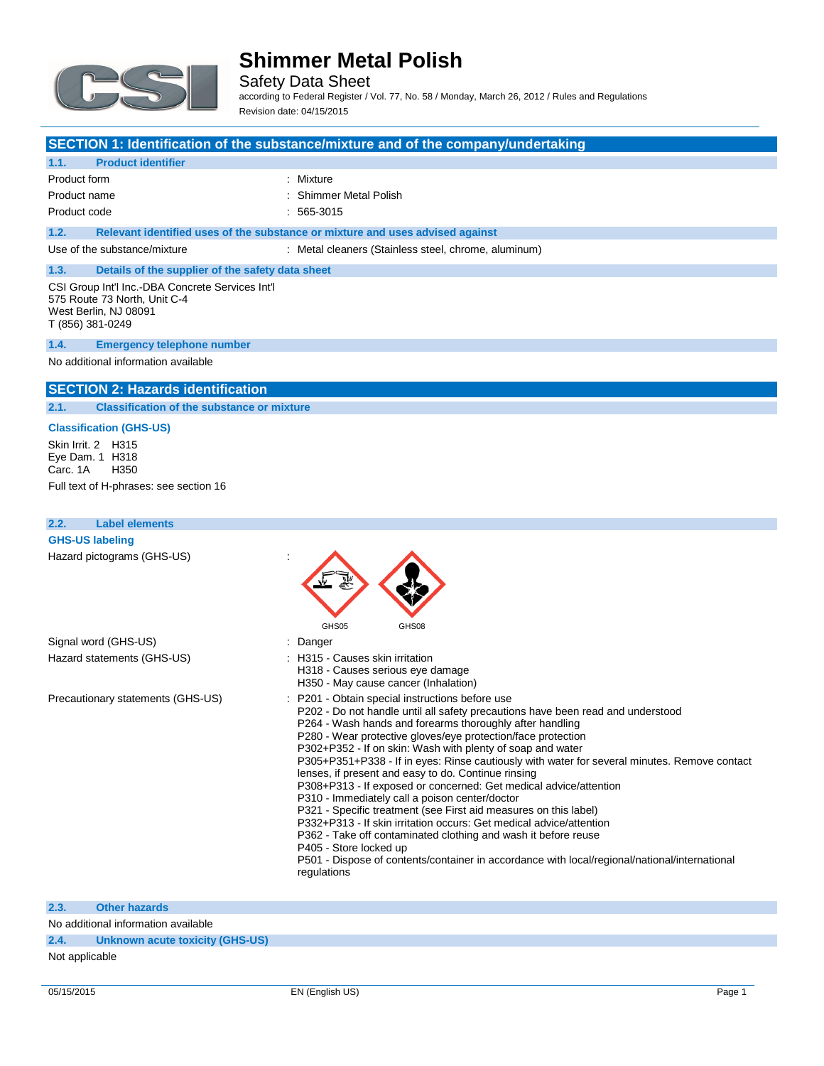

Safety Data Sheet

according to Federal Register / Vol. 77, No. 58 / Monday, March 26, 2012 / Rules and Regulations Revision date: 04/15/2015

### **SECTION 1: Identification of the substance/mixture and of the company/undertaking**

### **1.1. Product identifier**

| Product form |  |
|--------------|--|
| Product name |  |

: Mixture : Shimmer Metal Polish

Product code : 565-3015

## **1.2. Relevant identified uses of the substance or mixture and uses advised against**

Use of the substance/mixture : Metal cleaners (Stainless steel, chrome, aluminum)

## **1.3. Details of the supplier of the safety data sheet**

CSI Group Int'l Inc.-DBA Concrete Services Int'l 575 Route 73 North, Unit C-4 West Berlin, NJ 08091 T (856) 381-0249

#### **1.4. Emergency telephone number**

No additional information available

### **SECTION 2: Hazards identification**

**2.1. Classification of the substance or mixture**

#### **Classification (GHS-US)**

Skin Irrit. 2 H315 Eye Dam. 1 H318<br>Carc. 1A H350  $Carc. 1A$ 

Full text of H-phrases: see section 16

| <b>Label elements</b><br>2.2.     |                                                                                                                                                                                                                                                                                                                                                                                                                                                                                                                                                                                                                                                                                                                                                                                                                                                                                                                                                                   |
|-----------------------------------|-------------------------------------------------------------------------------------------------------------------------------------------------------------------------------------------------------------------------------------------------------------------------------------------------------------------------------------------------------------------------------------------------------------------------------------------------------------------------------------------------------------------------------------------------------------------------------------------------------------------------------------------------------------------------------------------------------------------------------------------------------------------------------------------------------------------------------------------------------------------------------------------------------------------------------------------------------------------|
| <b>GHS-US labeling</b>            |                                                                                                                                                                                                                                                                                                                                                                                                                                                                                                                                                                                                                                                                                                                                                                                                                                                                                                                                                                   |
| Hazard pictograms (GHS-US)        |                                                                                                                                                                                                                                                                                                                                                                                                                                                                                                                                                                                                                                                                                                                                                                                                                                                                                                                                                                   |
| Signal word (GHS-US)              | GHS05<br>GHS08<br>: Danger                                                                                                                                                                                                                                                                                                                                                                                                                                                                                                                                                                                                                                                                                                                                                                                                                                                                                                                                        |
| Hazard statements (GHS-US)        | : H315 - Causes skin irritation<br>H318 - Causes serious eye damage<br>H350 - May cause cancer (Inhalation)                                                                                                                                                                                                                                                                                                                                                                                                                                                                                                                                                                                                                                                                                                                                                                                                                                                       |
| Precautionary statements (GHS-US) | : P201 - Obtain special instructions before use<br>P202 - Do not handle until all safety precautions have been read and understood<br>P264 - Wash hands and forearms thoroughly after handling<br>P280 - Wear protective gloves/eye protection/face protection<br>P302+P352 - If on skin: Wash with plenty of soap and water<br>P305+P351+P338 - If in eyes: Rinse cautiously with water for several minutes. Remove contact<br>lenses, if present and easy to do. Continue rinsing<br>P308+P313 - If exposed or concerned: Get medical advice/attention<br>P310 - Immediately call a poison center/doctor<br>P321 - Specific treatment (see First aid measures on this label)<br>P332+P313 - If skin irritation occurs: Get medical advice/attention<br>P362 - Take off contaminated clothing and wash it before reuse<br>P405 - Store locked up<br>P501 - Dispose of contents/container in accordance with local/regional/national/international<br>regulations |

#### **2.3. Other hazards**

No additional information available

**2.4. Unknown acute toxicity (GHS-US)**

#### Not applicable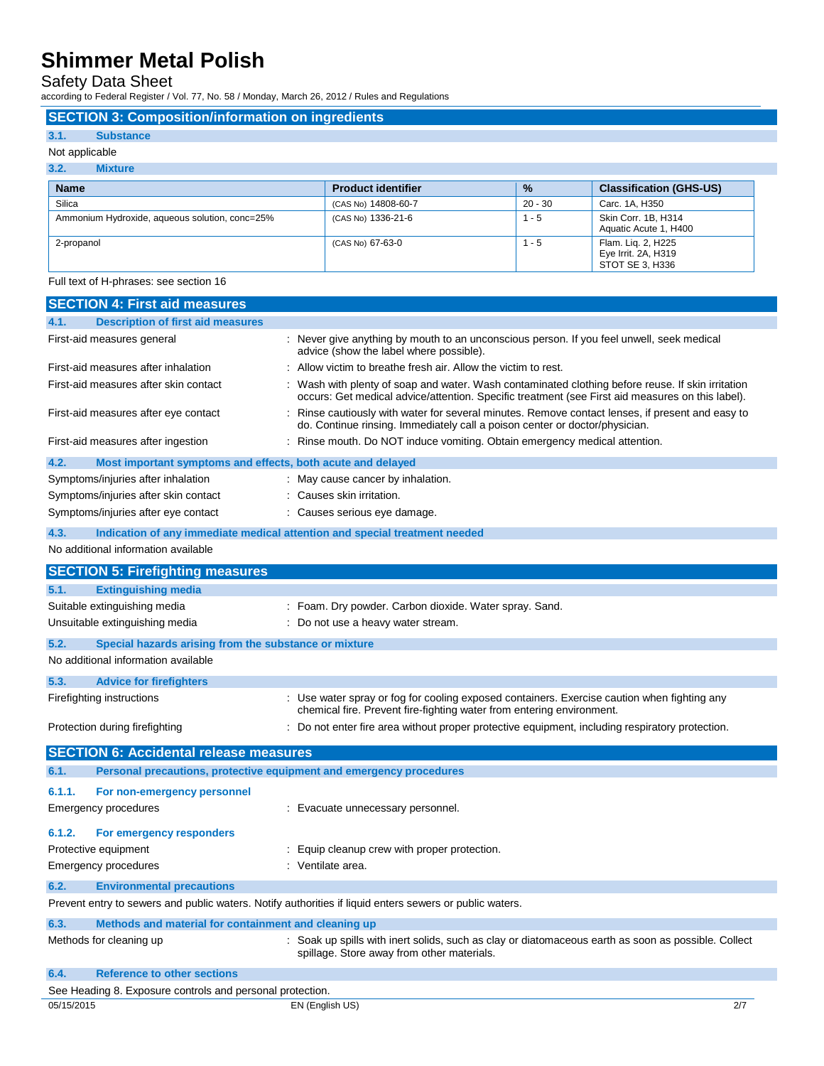Safety Data Sheet

according to Federal Register / Vol. 77, No. 58 / Monday, March 26, 2012 / Rules and Regulations

## **SECTION 3: Composition/information on ingredients**

## **3.1. Substance**

### Not applicable

L.

| 3.2.<br><b>Mixture</b>                         |                           |           |                                                              |  |
|------------------------------------------------|---------------------------|-----------|--------------------------------------------------------------|--|
| <b>Name</b>                                    | <b>Product identifier</b> | %         | <b>Classification (GHS-US)</b>                               |  |
| Silica                                         | (CAS No) 14808-60-7       | $20 - 30$ | Carc. 1A, H350                                               |  |
| Ammonium Hydroxide, aqueous solution, conc=25% | (CAS No) 1336-21-6        | $1 - 5$   | Skin Corr. 1B, H314<br>Aquatic Acute 1, H400                 |  |
| 2-propanol                                     | (CAS No) 67-63-0          | $1 - 5$   | Flam. Lig. 2, H225<br>Eye Irrit. 2A, H319<br>STOT SE 3, H336 |  |

Full text of H-phrases: see section 16

|            | <b>SECTION 4: First aid measures</b>                                |                                                                                                                                                                                                     |
|------------|---------------------------------------------------------------------|-----------------------------------------------------------------------------------------------------------------------------------------------------------------------------------------------------|
| 4.1.       | <b>Description of first aid measures</b>                            |                                                                                                                                                                                                     |
|            | First-aid measures general                                          | : Never give anything by mouth to an unconscious person. If you feel unwell, seek medical<br>advice (show the label where possible).                                                                |
|            | First-aid measures after inhalation                                 | Allow victim to breathe fresh air. Allow the victim to rest.                                                                                                                                        |
|            | First-aid measures after skin contact                               | Wash with plenty of soap and water. Wash contaminated clothing before reuse. If skin irritation<br>occurs: Get medical advice/attention. Specific treatment (see First aid measures on this label). |
|            | First-aid measures after eye contact                                | : Rinse cautiously with water for several minutes. Remove contact lenses, if present and easy to<br>do. Continue rinsing. Immediately call a poison center or doctor/physician.                     |
|            | First-aid measures after ingestion                                  | : Rinse mouth. Do NOT induce vomiting. Obtain emergency medical attention.                                                                                                                          |
| 4.2.       | Most important symptoms and effects, both acute and delayed         |                                                                                                                                                                                                     |
|            | Symptoms/injuries after inhalation                                  | : May cause cancer by inhalation.                                                                                                                                                                   |
|            | Symptoms/injuries after skin contact                                | : Causes skin irritation.                                                                                                                                                                           |
|            | Symptoms/injuries after eye contact                                 | : Causes serious eye damage.                                                                                                                                                                        |
| 4.3.       |                                                                     | Indication of any immediate medical attention and special treatment needed                                                                                                                          |
|            | No additional information available                                 |                                                                                                                                                                                                     |
|            |                                                                     |                                                                                                                                                                                                     |
|            | <b>SECTION 5: Firefighting measures</b>                             |                                                                                                                                                                                                     |
| 5.1.       | <b>Extinguishing media</b>                                          |                                                                                                                                                                                                     |
|            | Suitable extinguishing media                                        | : Foam. Dry powder. Carbon dioxide. Water spray. Sand.                                                                                                                                              |
|            | Unsuitable extinguishing media                                      | : Do not use a heavy water stream.                                                                                                                                                                  |
| 5.2.       | Special hazards arising from the substance or mixture               |                                                                                                                                                                                                     |
|            | No additional information available                                 |                                                                                                                                                                                                     |
| 5.3.       | <b>Advice for firefighters</b>                                      |                                                                                                                                                                                                     |
|            | Firefighting instructions                                           | : Use water spray or fog for cooling exposed containers. Exercise caution when fighting any<br>chemical fire. Prevent fire-fighting water from entering environment.                                |
|            | Protection during firefighting                                      | : Do not enter fire area without proper protective equipment, including respiratory protection.                                                                                                     |
|            | <b>SECTION 6: Accidental release measures</b>                       |                                                                                                                                                                                                     |
| 6.1.       | Personal precautions, protective equipment and emergency procedures |                                                                                                                                                                                                     |
| 6.1.1.     | For non-emergency personnel                                         |                                                                                                                                                                                                     |
|            | Emergency procedures                                                | : Evacuate unnecessary personnel.                                                                                                                                                                   |
|            |                                                                     |                                                                                                                                                                                                     |
| 6.1.2.     | For emergency responders                                            |                                                                                                                                                                                                     |
|            | Protective equipment                                                | : Equip cleanup crew with proper protection.                                                                                                                                                        |
|            | <b>Emergency procedures</b>                                         | : Ventilate area.                                                                                                                                                                                   |
| 6.2.       | <b>Environmental precautions</b>                                    |                                                                                                                                                                                                     |
|            |                                                                     | Prevent entry to sewers and public waters. Notify authorities if liquid enters sewers or public waters.                                                                                             |
| 6.3.       | Methods and material for containment and cleaning up                |                                                                                                                                                                                                     |
|            | Methods for cleaning up                                             | : Soak up spills with inert solids, such as clay or diatomaceous earth as soon as possible. Collect<br>spillage. Store away from other materials.                                                   |
| 6.4.       | <b>Reference to other sections</b>                                  |                                                                                                                                                                                                     |
|            | See Heading 8. Exposure controls and personal protection.           |                                                                                                                                                                                                     |
| 05/15/2015 |                                                                     | EN (English US)<br>2/7                                                                                                                                                                              |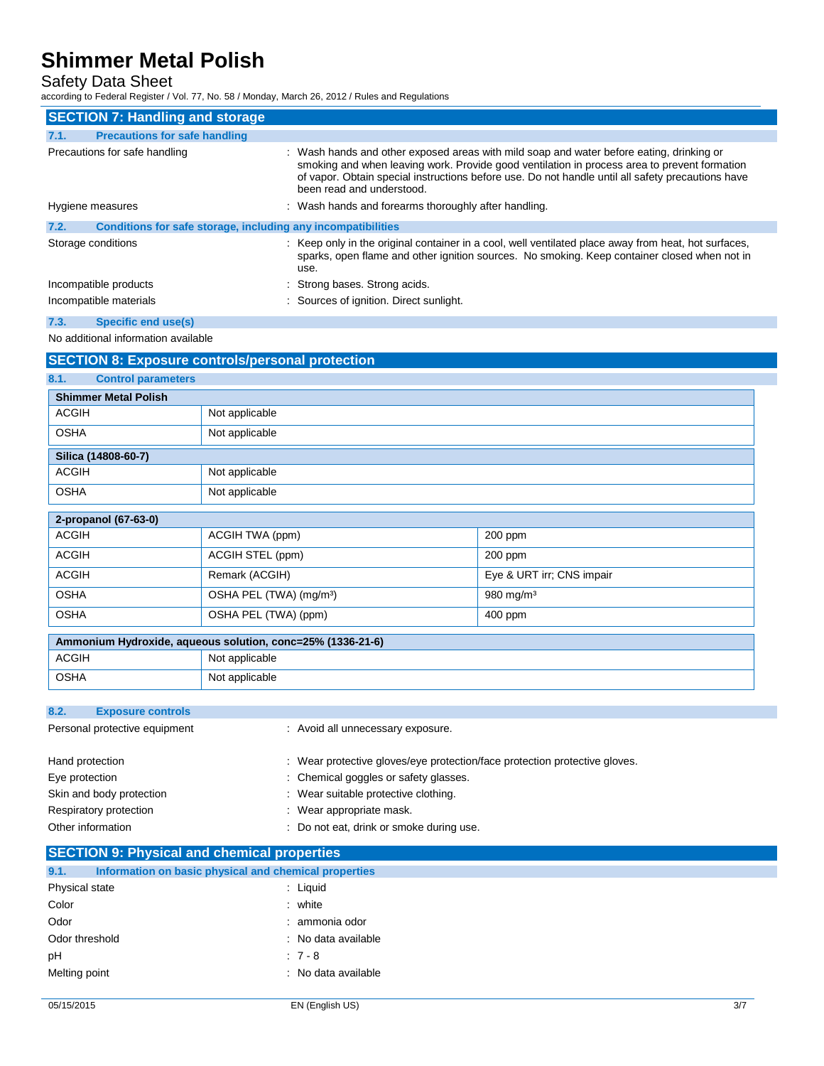Safety Data Sheet

according to Federal Register / Vol. 77, No. 58 / Monday, March 26, 2012 / Rules and Regulations

| <b>SECTION 7: Handling and storage</b>                               |                                                                                                                                                                                                                                                                                                                            |
|----------------------------------------------------------------------|----------------------------------------------------------------------------------------------------------------------------------------------------------------------------------------------------------------------------------------------------------------------------------------------------------------------------|
| <b>Precautions for safe handling</b><br>7.1.                         |                                                                                                                                                                                                                                                                                                                            |
| Precautions for safe handling                                        | : Wash hands and other exposed areas with mild soap and water before eating, drinking or<br>smoking and when leaving work. Provide good ventilation in process area to prevent formation<br>of vapor. Obtain special instructions before use. Do not handle until all safety precautions have<br>been read and understood. |
| Hygiene measures                                                     | : Wash hands and forearms thoroughly after handling.                                                                                                                                                                                                                                                                       |
| Conditions for safe storage, including any incompatibilities<br>7.2. |                                                                                                                                                                                                                                                                                                                            |
| Storage conditions                                                   | : Keep only in the original container in a cool, well ventilated place away from heat, hot surfaces,<br>sparks, open flame and other ignition sources. No smoking. Keep container closed when not in<br>use.                                                                                                               |
| Incompatible products                                                | : Strong bases. Strong acids.                                                                                                                                                                                                                                                                                              |
| Incompatible materials                                               | : Sources of ignition. Direct sunlight.                                                                                                                                                                                                                                                                                    |
| 7.3.<br><b>Specific end use(s)</b>                                   |                                                                                                                                                                                                                                                                                                                            |

No additional information available

## **SECTION 8: Exposure controls/personal protection**

| 8.1.<br><b>Control parameters</b> |                                                            |                           |  |
|-----------------------------------|------------------------------------------------------------|---------------------------|--|
| <b>Shimmer Metal Polish</b>       |                                                            |                           |  |
| <b>ACGIH</b>                      | Not applicable                                             |                           |  |
| <b>OSHA</b>                       | Not applicable                                             |                           |  |
| Silica (14808-60-7)               |                                                            |                           |  |
| <b>ACGIH</b>                      | Not applicable                                             |                           |  |
| <b>OSHA</b>                       | Not applicable                                             |                           |  |
| 2-propanol (67-63-0)              |                                                            |                           |  |
| <b>ACGIH</b>                      | ACGIH TWA (ppm)                                            | 200 ppm                   |  |
| <b>ACGIH</b>                      | ACGIH STEL (ppm)                                           | 200 ppm                   |  |
| <b>ACGIH</b>                      | Remark (ACGIH)                                             | Eye & URT irr; CNS impair |  |
| <b>OSHA</b>                       | OSHA PEL (TWA) (mg/m <sup>3</sup> )                        | 980 mg/m <sup>3</sup>     |  |
| <b>OSHA</b>                       | OSHA PEL (TWA) (ppm)                                       | 400 ppm                   |  |
|                                   | Ammonium Hydroxide, aqueous solution, conc=25% (1336-21-6) |                           |  |

| Ammonium Hydroxide, aqueous solution, conc=25% (1336-21-6) |                |
|------------------------------------------------------------|----------------|
| <b>ACGIH</b>                                               | Not applicable |
| <b>OSHA</b>                                                | Not applicable |

### **8.2. Exposure controls**

| Personal protective equipment | : Avoid all unnecessary exposure.                                          |  |
|-------------------------------|----------------------------------------------------------------------------|--|
| Hand protection               | : Wear protective gloves/eye protection/face protection protective gloves. |  |
| Eye protection                | : Chemical goggles or safety glasses.                                      |  |
| Skin and body protection      | : Wear suitable protective clothing.                                       |  |
| Respiratory protection        | : Wear appropriate mask.                                                   |  |
| Other information             | Do not eat, drink or smoke during use.                                     |  |

|     | <b>SECTION 9: Physical and chemical properties</b>    |  |  |  |
|-----|-------------------------------------------------------|--|--|--|
| 9.1 | Information on basic physical and chemical properties |  |  |  |

| Physical state | : Liguid            |
|----------------|---------------------|
| Color          | : white             |
| Odor           | : ammonia odor      |
| Odor threshold | : No data available |
| pH             | $:7-8$              |
| Melting point  | : No data available |
|                |                     |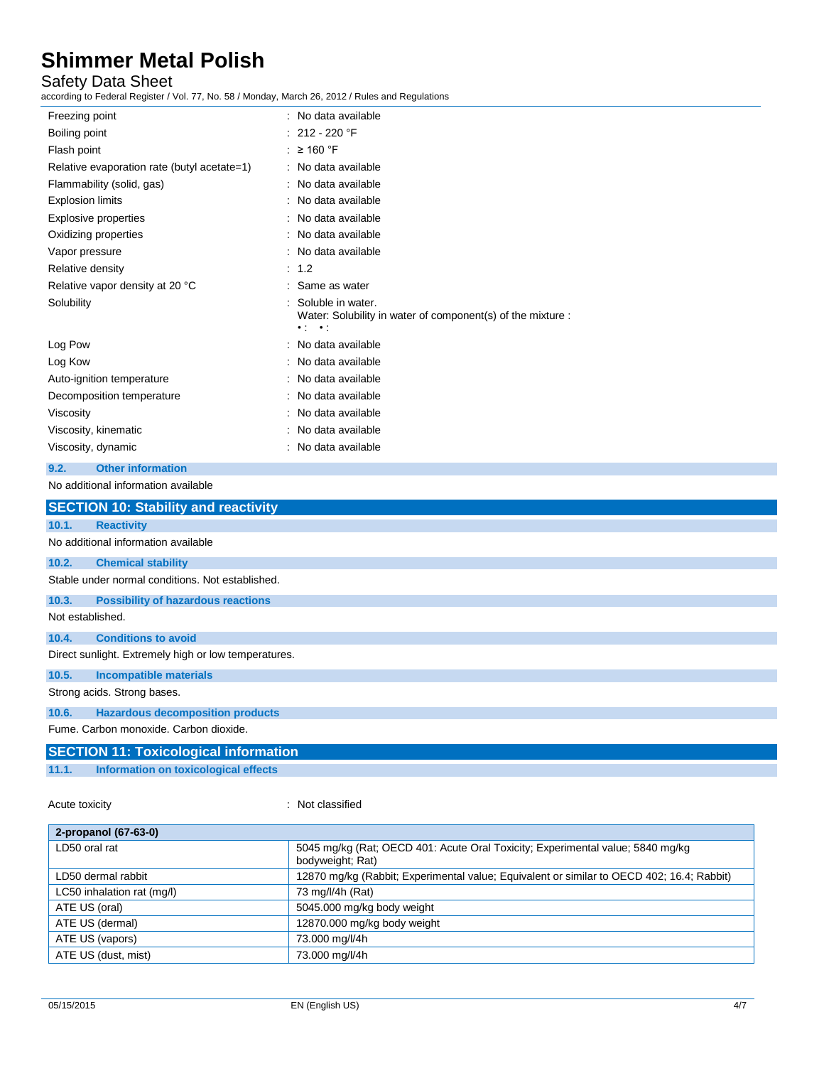## Safety Data Sheet

according to Federal Register / Vol. 77, No. 58 / Monday, March 26, 2012 / Rules and Regulations

| iccording to Federal Register / vol. 77, No. 58 / Monday, March 26, 2012 / Rules and Regulations |                                                                                                                          |  |
|--------------------------------------------------------------------------------------------------|--------------------------------------------------------------------------------------------------------------------------|--|
| Freezing point                                                                                   | : No data available                                                                                                      |  |
| Boiling point                                                                                    | $: 212 - 220$ °F                                                                                                         |  |
| Flash point                                                                                      | : $\geq$ 160 °F                                                                                                          |  |
| Relative evaporation rate (butyl acetate=1)                                                      | : No data available                                                                                                      |  |
| Flammability (solid, gas)                                                                        | : No data available                                                                                                      |  |
| <b>Explosion limits</b>                                                                          | No data available                                                                                                        |  |
| <b>Explosive properties</b>                                                                      | No data available                                                                                                        |  |
| Oxidizing properties                                                                             | No data available                                                                                                        |  |
| Vapor pressure                                                                                   | No data available                                                                                                        |  |
| Relative density                                                                                 | 1.2                                                                                                                      |  |
| Relative vapor density at 20 °C                                                                  | : Same as water                                                                                                          |  |
| Solubility                                                                                       | Soluble in water.<br>Water: Solubility in water of component(s) of the mixture :<br>$\bullet$ 1 $\bullet$<br>$\bullet$ : |  |
| Log Pow                                                                                          | No data available                                                                                                        |  |
| Log Kow                                                                                          | No data available                                                                                                        |  |
| Auto-ignition temperature                                                                        | No data available                                                                                                        |  |
| Decomposition temperature                                                                        | : No data available                                                                                                      |  |
| Viscosity                                                                                        | No data available                                                                                                        |  |
| Viscosity, kinematic                                                                             | No data available                                                                                                        |  |
| Viscosity, dynamic                                                                               | : No data available                                                                                                      |  |
| <b>Other information</b><br>9.2.                                                                 |                                                                                                                          |  |
| No additional information available                                                              |                                                                                                                          |  |
| <b>SECTION 10: Stability and reactivity</b>                                                      |                                                                                                                          |  |
| 10.1.<br><b>Reactivity</b>                                                                       |                                                                                                                          |  |
| No additional information available                                                              |                                                                                                                          |  |
| 10.2.<br><b>Chemical stability</b>                                                               |                                                                                                                          |  |
| Stable under normal conditions. Not established.                                                 |                                                                                                                          |  |
| 10.3.<br><b>Possibility of hazardous reactions</b>                                               |                                                                                                                          |  |
| Not established.                                                                                 |                                                                                                                          |  |
| <b>Conditions to avoid</b><br>10.4.                                                              |                                                                                                                          |  |
| Direct sunlight. Extremely high or low temperatures.                                             |                                                                                                                          |  |
| 10.5.<br><b>Incompatible materials</b>                                                           |                                                                                                                          |  |
| Strong acids. Strong bases.                                                                      |                                                                                                                          |  |
| <b>Hazardous decomposition products</b><br>10.6.                                                 |                                                                                                                          |  |
| Fume. Carbon monoxide. Carbon dioxide.                                                           |                                                                                                                          |  |
| <b>SECTION 11: Toxicological information</b>                                                     |                                                                                                                          |  |
| 11.1.<br>Information on toxicological effects                                                    |                                                                                                                          |  |
|                                                                                                  |                                                                                                                          |  |

Acute toxicity **in the case of the case of the case of the case of the case of the case of the case of the case of the case of the case of the case of the case of the case of the case of the case of the case of the case of** 

| 2-propanol (67-63-0)       |                                                                                                    |
|----------------------------|----------------------------------------------------------------------------------------------------|
| LD50 oral rat              | 5045 mg/kg (Rat; OECD 401: Acute Oral Toxicity; Experimental value; 5840 mg/kg<br>bodyweight; Rat) |
| LD50 dermal rabbit         | 12870 mg/kg (Rabbit; Experimental value; Equivalent or similar to OECD 402; 16.4; Rabbit)          |
| LC50 inhalation rat (mg/l) | 73 mg/l/4h (Rat)                                                                                   |
| ATE US (oral)              | 5045.000 mg/kg body weight                                                                         |
| ATE US (dermal)            | 12870.000 mg/kg body weight                                                                        |
| ATE US (vapors)            | 73.000 mg/l/4h                                                                                     |
| ATE US (dust, mist)        | 73.000 mg/l/4h                                                                                     |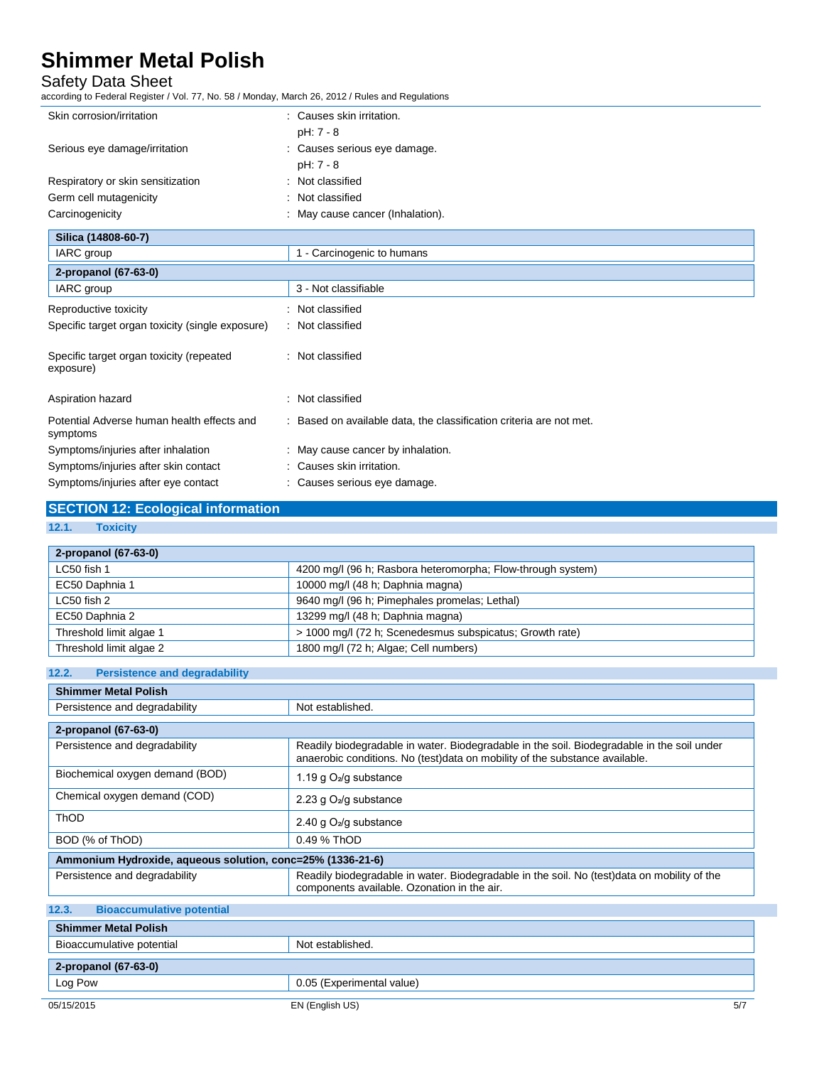## Safety Data Sheet

according to Federal Register / Vol. 77, No. 58 / Monday, March 26, 2012 / Rules and Regulations

| Skin corrosion/irritation                              | : Causes skin irritation.                                           |
|--------------------------------------------------------|---------------------------------------------------------------------|
|                                                        | pH: 7 - 8                                                           |
| Serious eye damage/irritation                          | : Causes serious eye damage.                                        |
|                                                        | $pH: 7 - 8$                                                         |
| Respiratory or skin sensitization                      | : Not classified                                                    |
| Germ cell mutagenicity                                 | Not classified                                                      |
| Carcinogenicity                                        | May cause cancer (Inhalation).                                      |
| Silica (14808-60-7)                                    |                                                                     |
| IARC group                                             | 1 - Carcinogenic to humans                                          |
| 2-propanol (67-63-0)                                   |                                                                     |
| IARC group                                             | 3 - Not classifiable                                                |
| Reproductive toxicity                                  | : Not classified                                                    |
| Specific target organ toxicity (single exposure)       | : Not classified                                                    |
| Specific target organ toxicity (repeated<br>exposure)  | : Not classified                                                    |
| Aspiration hazard                                      | Not classified<br>۰.                                                |
| Potential Adverse human health effects and<br>symptoms | : Based on available data, the classification criteria are not met. |
| Symptoms/injuries after inhalation                     | : May cause cancer by inhalation.                                   |
| Symptoms/injuries after skin contact                   | : Causes skin irritation.                                           |
|                                                        |                                                                     |

# Symptoms/injuries after eye contact : Causes serious eye damage.

# **SECTION 12: Ecological information**

**12.1. Toxicity**

| 2-propanol (67-63-0)    |                                                             |
|-------------------------|-------------------------------------------------------------|
| LC50 fish 1             | 4200 mg/l (96 h; Rasbora heteromorpha; Flow-through system) |
| EC50 Daphnia 1          | 10000 mg/l (48 h; Daphnia magna)                            |
| LC50 fish 2             | 9640 mg/l (96 h; Pimephales promelas; Lethal)               |
| EC50 Daphnia 2          | 13299 mg/l (48 h; Daphnia magna)                            |
| Threshold limit algae 1 | > 1000 mg/l (72 h; Scenedesmus subspicatus; Growth rate)    |
| Threshold limit algae 2 | 1800 mg/l (72 h; Algae; Cell numbers)                       |

### **12.2. Persistence and degradability**

| <b>Shimmer Metal Polish</b>                                |                                                                                                                                                                           |
|------------------------------------------------------------|---------------------------------------------------------------------------------------------------------------------------------------------------------------------------|
| Persistence and degradability                              | Not established.                                                                                                                                                          |
| 2-propanol (67-63-0)                                       |                                                                                                                                                                           |
| Persistence and degradability                              | Readily biodegradable in water. Biodegradable in the soil. Biodegradable in the soil under<br>anaerobic conditions. No (test)data on mobility of the substance available. |
| Biochemical oxygen demand (BOD)                            | 1.19 g $O_2$ /g substance                                                                                                                                                 |
| Chemical oxygen demand (COD)                               | 2.23 g O <sub>2</sub> /g substance                                                                                                                                        |
| <b>ThOD</b>                                                | 2.40 g $O_2$ /g substance                                                                                                                                                 |
| BOD (% of ThOD)                                            | 0.49 % ThOD                                                                                                                                                               |
| Ammonium Hydroxide, aqueous solution, conc=25% (1336-21-6) |                                                                                                                                                                           |
| Persistence and degradability                              | Readily biodegradable in water. Biodegradable in the soil. No (test)data on mobility of the<br>components available. Ozonation in the air.                                |
| 12.3.<br><b>Bioaccumulative potential</b>                  |                                                                                                                                                                           |
| <b>Shimmer Metal Polish</b>                                |                                                                                                                                                                           |
|                                                            |                                                                                                                                                                           |

| Bioaccumulative potential | Not established.          |
|---------------------------|---------------------------|
|                           |                           |
| $2$ -propanol (67-63-0)   |                           |
| Log Pow                   | 0.05 (Experimental value) |
|                           |                           |
| 05/15/2015                | EN (English US)<br>5/7    |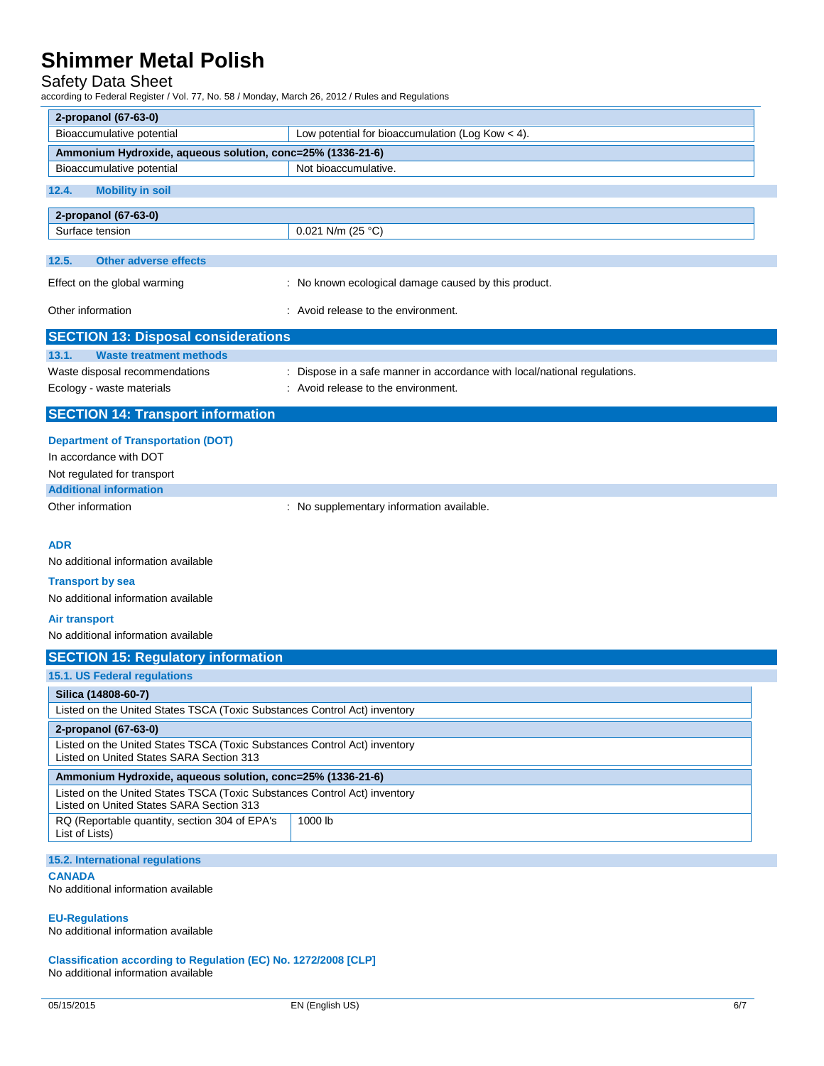## Safety Data Sheet

according to Federal Register / Vol. 77, No. 58 / Monday, March 26, 2012 / Rules and Regulations

| 2-propanol (67-63-0)                                                                                                  |                                                                           |
|-----------------------------------------------------------------------------------------------------------------------|---------------------------------------------------------------------------|
| Bioaccumulative potential                                                                                             | Low potential for bioaccumulation (Log Kow $<$ 4).                        |
| Ammonium Hydroxide, aqueous solution, conc=25% (1336-21-6)                                                            |                                                                           |
| Bioaccumulative potential                                                                                             | Not bioaccumulative.                                                      |
| 12.4.<br><b>Mobility in soil</b>                                                                                      |                                                                           |
| 2-propanol (67-63-0)                                                                                                  |                                                                           |
| Surface tension                                                                                                       | 0.021 N/m (25 $^{\circ}$ C)                                               |
|                                                                                                                       |                                                                           |
| 12.5.<br><b>Other adverse effects</b>                                                                                 |                                                                           |
| Effect on the global warming                                                                                          | : No known ecological damage caused by this product.                      |
| Other information                                                                                                     | : Avoid release to the environment.                                       |
| <b>SECTION 13: Disposal considerations</b>                                                                            |                                                                           |
| 13.1.<br><b>Waste treatment methods</b>                                                                               |                                                                           |
| Waste disposal recommendations                                                                                        | : Dispose in a safe manner in accordance with local/national regulations. |
| Ecology - waste materials                                                                                             | : Avoid release to the environment.                                       |
| <b>SECTION 14: Transport information</b>                                                                              |                                                                           |
| <b>Department of Transportation (DOT)</b>                                                                             |                                                                           |
| In accordance with DOT                                                                                                |                                                                           |
| Not regulated for transport                                                                                           |                                                                           |
| <b>Additional information</b>                                                                                         |                                                                           |
| Other information                                                                                                     | : No supplementary information available.                                 |
|                                                                                                                       |                                                                           |
| <b>ADR</b>                                                                                                            |                                                                           |
| No additional information available                                                                                   |                                                                           |
| <b>Transport by sea</b>                                                                                               |                                                                           |
| No additional information available                                                                                   |                                                                           |
| <b>Air transport</b>                                                                                                  |                                                                           |
| No additional information available                                                                                   |                                                                           |
| <b>SECTION 15: Regulatory information</b>                                                                             |                                                                           |
| 15.1. US Federal regulations                                                                                          |                                                                           |
| Silica (14808-60-7)                                                                                                   |                                                                           |
| Listed on the United States TSCA (Toxic Substances Control Act) inventory                                             |                                                                           |
| 2-propanol (67-63-0)                                                                                                  |                                                                           |
| Listed on the United States TSCA (Toxic Substances Control Act) inventory<br>Listed on United States SARA Section 313 |                                                                           |
| Ammonium Hydroxide, aqueous solution, conc=25% (1336-21-6)                                                            |                                                                           |
| Listed on the United States TSCA (Toxic Substances Control Act) inventory<br>Listed on United States SARA Section 313 |                                                                           |
| RQ (Reportable quantity, section 304 of EPA's<br>List of Lists)                                                       | 1000 lb                                                                   |
| 15.2. International regulations                                                                                       |                                                                           |

### **CANADA**

No additional information available

**EU-Regulations**

No additional information available

**Classification according to Regulation (EC) No. 1272/2008 [CLP]** No additional information available